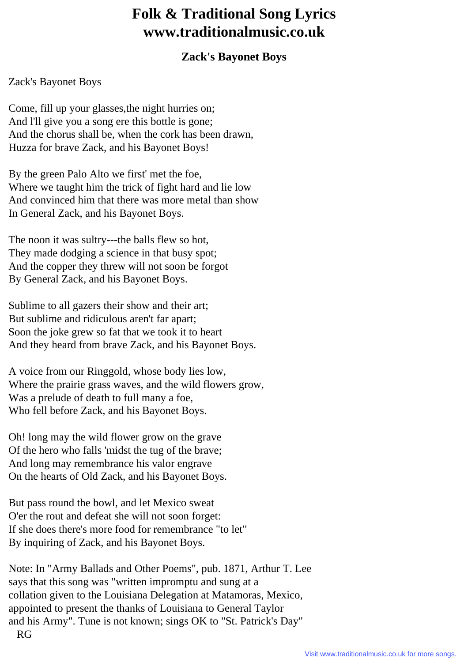## **Folk & Traditional Song Lyrics www.traditionalmusic.co.uk**

## **Zack's Bayonet Boys**

## Zack's Bayonet Boys

Come, fill up your glasses,the night hurries on; And l'll give you a song ere this bottle is gone; And the chorus shall be, when the cork has been drawn, Huzza for brave Zack, and his Bayonet Boys!

By the green Palo Alto we first' met the foe, Where we taught him the trick of fight hard and lie low And convinced him that there was more metal than show In General Zack, and his Bayonet Boys.

The noon it was sultry---the balls flew so hot, They made dodging a science in that busy spot; And the copper they threw will not soon be forgot By General Zack, and his Bayonet Boys.

Sublime to all gazers their show and their art; But sublime and ridiculous aren't far apart; Soon the joke grew so fat that we took it to heart And they heard from brave Zack, and his Bayonet Boys.

A voice from our Ringgold, whose body lies low, Where the prairie grass waves, and the wild flowers grow, Was a prelude of death to full many a foe, Who fell before Zack, and his Bayonet Boys.

Oh! long may the wild flower grow on the grave Of the hero who falls 'midst the tug of the brave; And long may remembrance his valor engrave On the hearts of Old Zack, and his Bayonet Boys.

But pass round the bowl, and let Mexico sweat O'er the rout and defeat she will not soon forget: If she does there's more food for remembrance "to let" By inquiring of Zack, and his Bayonet Boys.

Note: In "Army Ballads and Other Poems", pub. 1871, Arthur T. Lee says that this song was "written impromptu and sung at a collation given to the Louisiana Delegation at Matamoras, Mexico, appointed to present the thanks of Louisiana to General Taylor and his Army". Tune is not known; sings OK to "St. Patrick's Day" RG